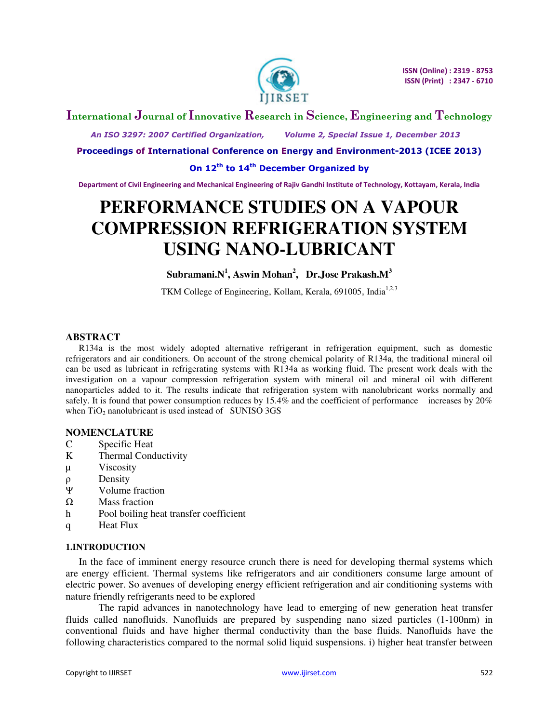

## **International Journal of Innovative Research in Science, Engineering and Technology**

 *An ISO 3297: 2007 Certified Organization, Volume 2, Special Issue 1, December 2013* 

**Proceedings of International Conference on Energy and Environment-2013 (ICEE 2013)** 

**On 12th to 14th December Organized by** 

**Department of Civil Engineering and Mechanical Engineering of Rajiv Gandhi Institute of Technology, Kottayam, Kerala, India** 

# **PERFORMANCE STUDIES ON A VAPOUR COMPRESSION REFRIGERATION SYSTEM USING NANO-LUBRICANT**

**Subramani.N<sup>1</sup> , Aswin Mohan<sup>2</sup> , Dr.Jose Prakash.M<sup>3</sup>**

TKM College of Engineering, Kollam, Kerala, 691005, India<sup>1,2,3</sup>

#### **ABSTRACT**

R134a is the most widely adopted alternative refrigerant in refrigeration equipment, such as domestic refrigerators and air conditioners. On account of the strong chemical polarity of R134a, the traditional mineral oil can be used as lubricant in refrigerating systems with R134a as working fluid. The present work deals with the investigation on a vapour compression refrigeration system with mineral oil and mineral oil with different nanoparticles added to it. The results indicate that refrigeration system with nanolubricant works normally and safely. It is found that power consumption reduces by 15.4% and the coefficient of performance increases by 20% when  $TiO<sub>2</sub>$  nanolubricant is used instead of SUNISO 3GS

#### **NOMENCLATURE**

- C Specific Heat
- K Thermal Conductivity
- µ Viscosity
- ρ Density
- Ȍ Volume fraction
- $\Omega$  Mass fraction
- h Pool boiling heat transfer coefficient
- q Heat Flux

#### **1.INTRODUCTION**

In the face of imminent energy resource crunch there is need for developing thermal systems which are energy efficient. Thermal systems like refrigerators and air conditioners consume large amount of electric power. So avenues of developing energy efficient refrigeration and air conditioning systems with nature friendly refrigerants need to be explored

 The rapid advances in nanotechnology have lead to emerging of new generation heat transfer fluids called nanofluids. Nanofluids are prepared by suspending nano sized particles (1-100nm) in conventional fluids and have higher thermal conductivity than the base fluids. Nanofluids have the following characteristics compared to the normal solid liquid suspensions. i) higher heat transfer between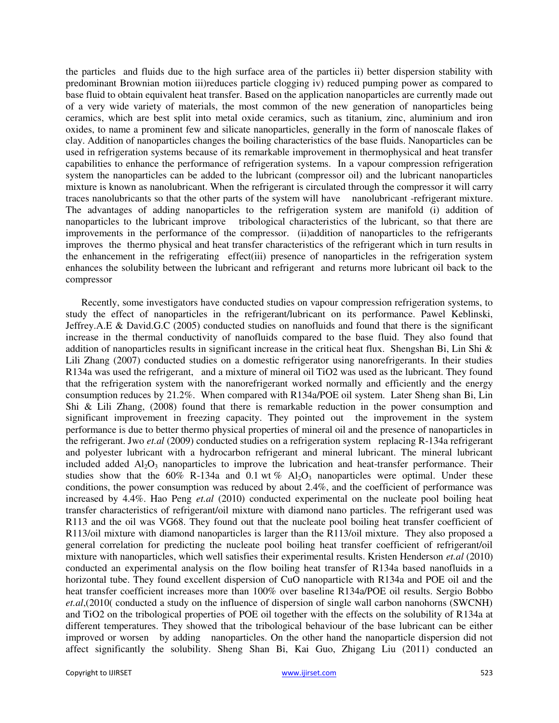the particles and fluids due to the high surface area of the particles ii) better dispersion stability with predominant Brownian motion iii)reduces particle clogging iv) reduced pumping power as compared to base fluid to obtain equivalent heat transfer. Based on the application nanoparticles are currently made out of a very wide variety of materials, the most common of the new generation of nanoparticles being ceramics, which are best split into metal oxide ceramics, such as titanium, zinc, aluminium and iron oxides, to name a prominent few and silicate nanoparticles, generally in the form of nanoscale flakes of clay. Addition of nanoparticles changes the boiling characteristics of the base fluids. Nanoparticles can be used in refrigeration systems because of its remarkable improvement in thermophysical and heat transfer capabilities to enhance the performance of refrigeration systems. In a vapour compression refrigeration system the nanoparticles can be added to the lubricant (compressor oil) and the lubricant nanoparticles mixture is known as nanolubricant. When the refrigerant is circulated through the compressor it will carry traces nanolubricants so that the other parts of the system will have nanolubricant -refrigerant mixture. The advantages of adding nanoparticles to the refrigeration system are manifold (i) addition of nanoparticles to the lubricant improve tribological characteristics of the lubricant, so that there are improvements in the performance of the compressor. (ii)addition of nanoparticles to the refrigerants improves the thermo physical and heat transfer characteristics of the refrigerant which in turn results in the enhancement in the refrigerating effect(iii) presence of nanoparticles in the refrigeration system enhances the solubility between the lubricant and refrigerant and returns more lubricant oil back to the compressor

 Recently, some investigators have conducted studies on vapour compression refrigeration systems, to study the effect of nanoparticles in the refrigerant/lubricant on its performance. Pawel Keblinski, Jeffrey.A.E & David.G.C (2005) conducted studies on nanofluids and found that there is the significant increase in the thermal conductivity of nanofluids compared to the base fluid. They also found that addition of nanoparticles results in significant increase in the critical heat flux. Shengshan Bi, Lin Shi & Lili Zhang (2007) conducted studies on a domestic refrigerator using nanorefrigerants. In their studies R134a was used the refrigerant, and a mixture of mineral oil TiO2 was used as the lubricant. They found that the refrigeration system with the nanorefrigerant worked normally and efficiently and the energy consumption reduces by 21.2%. When compared with R134a/POE oil system. Later Sheng shan Bi, Lin Shi & Lili Zhang, (2008) found that there is remarkable reduction in the power consumption and significant improvement in freezing capacity. They pointed out the improvement in the system performance is due to better thermo physical properties of mineral oil and the presence of nanoparticles in the refrigerant. Jwo *et.al* (2009) conducted studies on a refrigeration system replacing R-134a refrigerant and polyester lubricant with a hydrocarbon refrigerant and mineral lubricant. The mineral lubricant included added  $A_1O_3$  nanoparticles to improve the lubrication and heat-transfer performance. Their studies show that the  $60\%$  R-134a and 0.1 wt  $\%$  Al<sub>2</sub>O<sub>3</sub> nanoparticles were optimal. Under these conditions, the power consumption was reduced by about 2.4%, and the coefficient of performance was increased by 4.4%. Hao Peng *et.al* (2010) conducted experimental on the nucleate pool boiling heat transfer characteristics of refrigerant/oil mixture with diamond nano particles. The refrigerant used was R113 and the oil was VG68. They found out that the nucleate pool boiling heat transfer coefficient of R113/oil mixture with diamond nanoparticles is larger than the R113/oil mixture. They also proposed a general correlation for predicting the nucleate pool boiling heat transfer coefficient of refrigerant/oil mixture with nanoparticles, which well satisfies their experimental results. Kristen Henderson *et.al* (2010) conducted an experimental analysis on the flow boiling heat transfer of R134a based nanofluids in a horizontal tube. They found excellent dispersion of CuO nanoparticle with R134a and POE oil and the heat transfer coefficient increases more than 100% over baseline R134a/POE oil results. Sergio Bobbo *et.al*,(2010( conducted a study on the influence of dispersion of single wall carbon nanohorns (SWCNH) and TiO2 on the tribological properties of POE oil together with the effects on the solubility of R134a at different temperatures. They showed that the tribological behaviour of the base lubricant can be either improved or worsen by adding nanoparticles. On the other hand the nanoparticle dispersion did not affect significantly the solubility. Sheng Shan Bi, Kai Guo, Zhigang Liu (2011) conducted an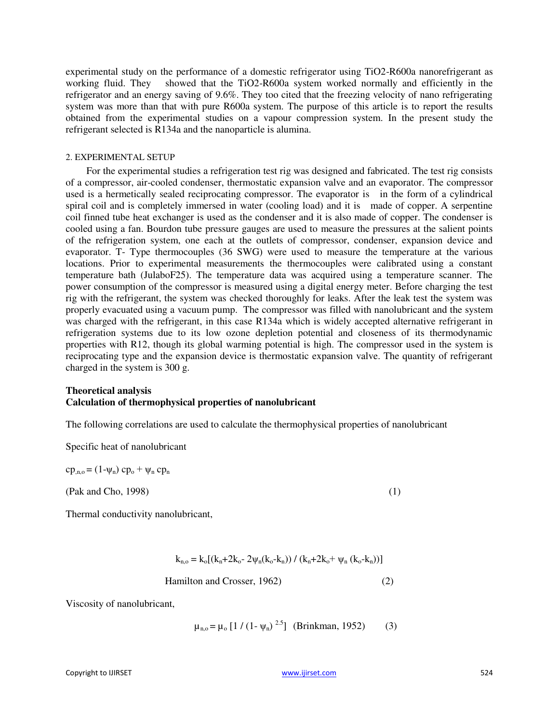experimental study on the performance of a domestic refrigerator using TiO2-R600a nanorefrigerant as working fluid. They showed that the TiO2-R600a system worked normally and efficiently in the refrigerator and an energy saving of 9.6%. They too cited that the freezing velocity of nano refrigerating system was more than that with pure R600a system. The purpose of this article is to report the results obtained from the experimental studies on a vapour compression system. In the present study the refrigerant selected is R134a and the nanoparticle is alumina.

#### 2. EXPERIMENTAL SETUP

 For the experimental studies a refrigeration test rig was designed and fabricated. The test rig consists of a compressor, air-cooled condenser, thermostatic expansion valve and an evaporator. The compressor used is a hermetically sealed reciprocating compressor. The evaporator is in the form of a cylindrical spiral coil and is completely immersed in water (cooling load) and it is made of copper. A serpentine coil finned tube heat exchanger is used as the condenser and it is also made of copper. The condenser is cooled using a fan. Bourdon tube pressure gauges are used to measure the pressures at the salient points of the refrigeration system, one each at the outlets of compressor, condenser, expansion device and evaporator. T- Type thermocouples (36 SWG) were used to measure the temperature at the various locations. Prior to experimental measurements the thermocouples were calibrated using a constant temperature bath (JulaboF25). The temperature data was acquired using a temperature scanner. The power consumption of the compressor is measured using a digital energy meter. Before charging the test rig with the refrigerant, the system was checked thoroughly for leaks. After the leak test the system was properly evacuated using a vacuum pump. The compressor was filled with nanolubricant and the system was charged with the refrigerant, in this case R134a which is widely accepted alternative refrigerant in refrigeration systems due to its low ozone depletion potential and closeness of its thermodynamic properties with R12, though its global warming potential is high. The compressor used in the system is reciprocating type and the expansion device is thermostatic expansion valve. The quantity of refrigerant charged in the system is 300 g.

### **Theoretical analysis Calculation of thermophysical properties of nanolubricant**

The following correlations are used to calculate the thermophysical properties of nanolubricant

Specific heat of nanolubricant

 $cp_{n,o} = (1-\psi_n) cp_o + \psi_n cp_n$ 

(Pak and Cho, 1998) (1)

Thermal conductivity nanolubricant,

$$
k_{n,o} = k_o[(k_n + 2k_o - 2\psi_n(k_o - k_n)) / (k_n + 2k_o + \psi_n (k_o - k_n))]
$$

Hamilton and Crosser, 1962) (2)

Viscosity of nanolubricant,

$$
\mu_{n,o} = \mu_o [1 / (1 - \psi_n)^{2.5}]
$$
 (Brinkman, 1952) (3)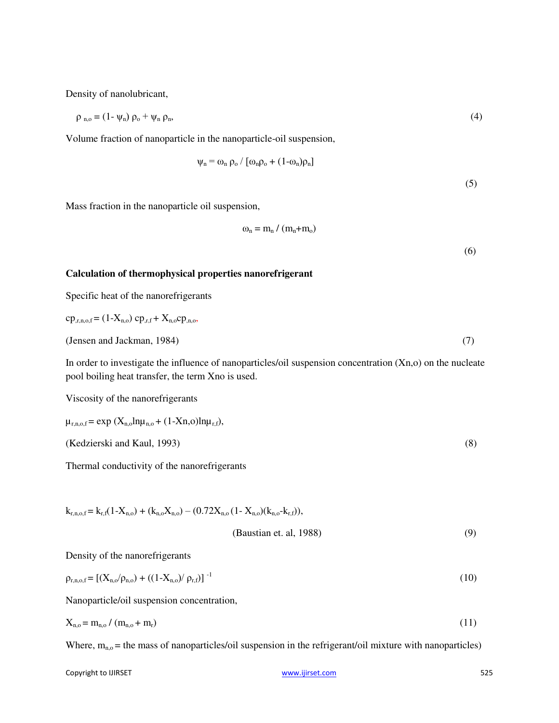Density of nanolubricant,

$$
\rho_{n,0} = (1 - \psi_n) \rho_0 + \psi_n \rho_n, \tag{4}
$$

Volume fraction of nanoparticle in the nanoparticle-oil suspension,

$$
\psi_{n} = \omega_{n} \rho_{o} / [\omega_{n} \rho_{o} + (1 - \omega_{n}) \rho_{n}]
$$

(5)

(6)

Mass fraction in the nanoparticle oil suspension,

$$
\omega_{n} = m_{n} / (m_{n} + m_{o})
$$

#### **Calculation of thermophysical properties nanorefrigerant**

Specific heat of the nanorefrigerants

$$
cp_{,r,n,o,f} = (1-X_{n,o}) cp_{,r,f} + X_{n,o}cp_{,n,o},
$$
  
(Jensen and Jackman, 1984) (7)

In order to investigate the influence of nanoparticles/oil suspension concentration (Xn,o) on the nucleate pool boiling heat transfer, the term Xno is used.

Viscosity of the nanorefrigerants

$$
\mu_{r,n,o,f} = \exp(X_{n,o} \ln \mu_{n,o} + (1-Xn,o) \ln \mu_{r,f}),
$$
  
(Kedzierski and Kaul, 1993) (8)

Thermal conductivity of the nanorefrigerants

$$
k_{r,n,o,f} = k_{r,f}(1-X_{n,o}) + (k_{n,o}X_{n,o}) - (0.72X_{n,o}(1-X_{n,o})(k_{n,o}-k_{r,f})),
$$
\n(Baustian et. al, 1988) (9)

Density of the nanorefrigerants

$$
\rho_{r,n,o,f} = \left[ (X_{n,o}/\rho_{n,o}) + ((1 - X_{n,o})/\rho_{r,f}) \right]^{-1}
$$
\n(10)

Nanoparticle/oil suspension concentration,

$$
X_{n,o} = m_{n,o} / (m_{n,o} + m_r) \tag{11}
$$

Where,  $m_{n,0}$  = the mass of nanoparticles/oil suspension in the refrigerant/oil mixture with nanoparticles)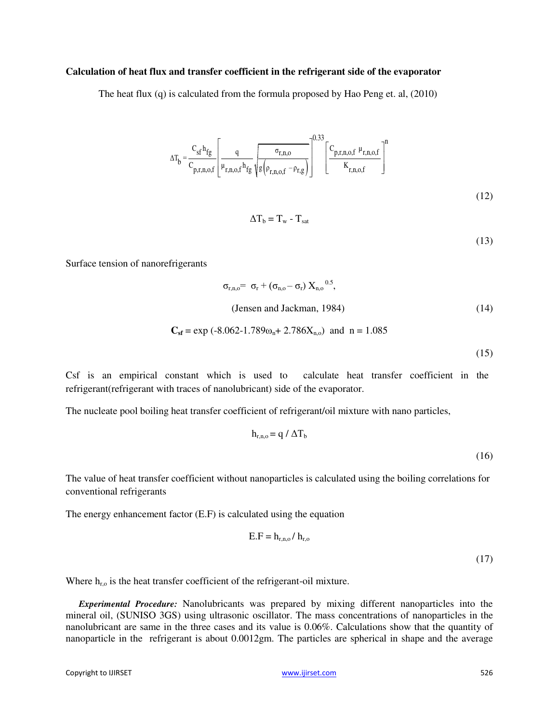#### **Calculation of heat flux and transfer coefficient in the refrigerant side of the evaporator**

The heat flux (q) is calculated from the formula proposed by Hao Peng et. al, (2010)

$$
\Delta T_b = \frac{C_{sf} h_{fg}}{C_{p,r,n,o,f}} \left[ \frac{q}{\mu_{r,n,o,f} h_{fg}} \sqrt{\frac{\sigma_{r,n,o}}{g \left( \rho_{r,n,o,f} - \rho_{r,g} \right)}} \right]^{0.33} \left[ \frac{C_{p,r,n,o,f} \mu_{r,n,o,f}}{K_{r,n,o,f}} \right]^n
$$
\n(12)

 $\Delta T_b = T_w - T_{sat}$ 

(13)

Surface tension of nanorefrigerants

$$
\sigma_{r,n,0} = \sigma_r + (\sigma_{n,0} - \sigma_r) X_{n,0}^{0.5},
$$
  
(Jensen and Jackman, 1984) (14)

$$
C_{\rm sf} = \exp(-8.062 - 1.789\omega_n + 2.786X_{n,0})
$$
 and  $n = 1.085$ 

(15)

Csf is an empirical constant which is used to calculate heat transfer coefficient in the refrigerant(refrigerant with traces of nanolubricant) side of the evaporator.

The nucleate pool boiling heat transfer coefficient of refrigerant/oil mixture with nano particles,

$$
h_{r,n,o} = q / \Delta T_b
$$
 (16)

The value of heat transfer coefficient without nanoparticles is calculated using the boiling correlations for conventional refrigerants

The energy enhancement factor (E.F) is calculated using the equation

$$
E.F = h_{r,n,o} / h_{r,o}
$$
 (17)

Where  $h_{r,o}$  is the heat transfer coefficient of the refrigerant-oil mixture.

*Experimental Procedure:* Nanolubricants was prepared by mixing different nanoparticles into the mineral oil, (SUNISO 3GS) using ultrasonic oscillator. The mass concentrations of nanoparticles in the nanolubricant are same in the three cases and its value is 0.06%. Calculations show that the quantity of nanoparticle in the refrigerant is about 0.0012gm. The particles are spherical in shape and the average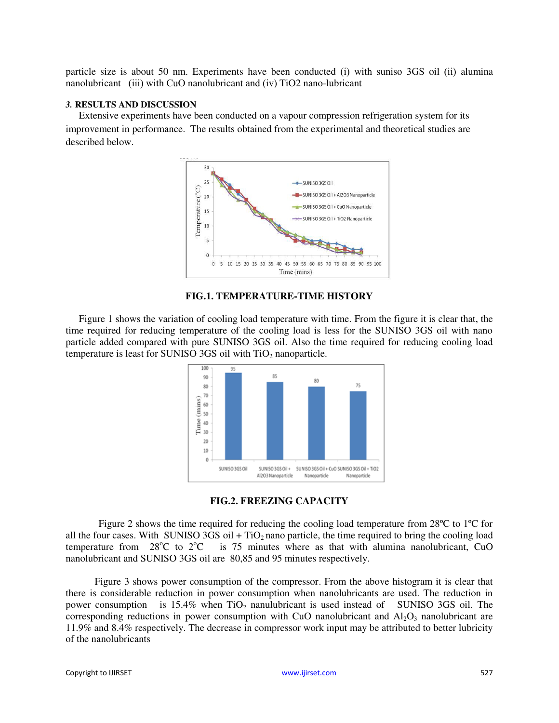particle size is about 50 nm. Experiments have been conducted (i) with suniso 3GS oil (ii) alumina nanolubricant (iii) with CuO nanolubricant and (iv) TiO2 nano-lubricant

#### *3.* **RESULTS AND DISCUSSION**

 Extensive experiments have been conducted on a vapour compression refrigeration system for its improvement in performance. The results obtained from the experimental and theoretical studies are described below.



#### **FIG.1. TEMPERATURE-TIME HISTORY**

Figure 1 shows the variation of cooling load temperature with time. From the figure it is clear that, the time required for reducing temperature of the cooling load is less for the SUNISO 3GS oil with nano particle added compared with pure SUNISO 3GS oil. Also the time required for reducing cooling load temperature is least for SUNISO 3GS oil with TiO<sub>2</sub> nanoparticle.





 Figure 2 shows the time required for reducing the cooling load temperature from 28ºC to 1ºC for all the four cases. With SUNISO 3GS oil + TiO<sub>2</sub> nano particle, the time required to bring the cooling load temperature from 28°C to 2°C is 75 minutes where as that with alumina nanolubricant, CuO is 75 minutes where as that with alumina nanolubricant, CuO nanolubricant and SUNISO 3GS oil are 80,85 and 95 minutes respectively.

 Figure 3 shows power consumption of the compressor. From the above histogram it is clear that there is considerable reduction in power consumption when nanolubricants are used. The reduction in power consumption is 15.4% when TiO<sub>2</sub> nanulubricant is used instead of SUNISO 3GS oil. The corresponding reductions in power consumption with CuO nanolubricant and  $Al_2O_3$  nanolubricant are 11.9% and 8.4% respectively. The decrease in compressor work input may be attributed to better lubricity of the nanolubricants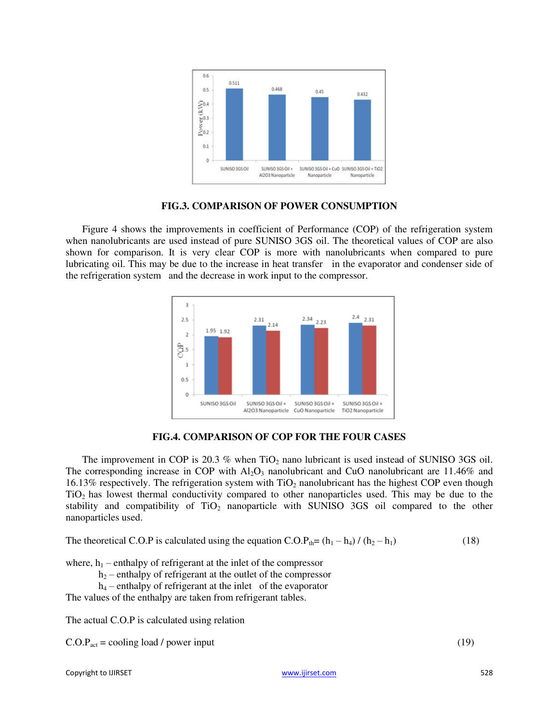

**FIG.3. COMPARISON OF POWER CONSUMPTION** 

Figure 4 shows the improvements in coefficient of Performance (COP) of the refrigeration system when nanolubricants are used instead of pure SUNISO 3GS oil. The theoretical values of COP are also shown for comparison. It is very clear COP is more with nanolubricants when compared to pure lubricating oil. This may be due to the increase in heat transfer in the evaporator and condenser side of the refrigeration system and the decrease in work input to the compressor.



**FIG.4. COMPARISON OF COP FOR THE FOUR CASES** 

The improvement in COP is  $20.3\%$  when TiO<sub>2</sub> nano lubricant is used instead of SUNISO 3GS oil. The corresponding increase in COP with  $Al_2O_3$  nanolubricant and CuO nanolubricant are 11.46% and 16.13% respectively. The refrigeration system with  $TiO<sub>2</sub>$  nanolubricant has the highest COP even though TiO2 has lowest thermal conductivity compared to other nanoparticles used. This may be due to the stability and compatibility of  $TiO<sub>2</sub>$  nanoparticle with SUNISO 3GS oil compared to the other nanoparticles used.

The theoretical C.O.P is calculated using the equation  $C.O.P<sub>th</sub>=(h<sub>1</sub> - h<sub>4</sub>) / (h<sub>2</sub> - h<sub>1</sub>)$  (18)

where,  $h_1$  – enthalpy of refrigerant at the inlet of the compressor

 $h_2$  – enthalpy of refrigerant at the outlet of the compressor

 $h_4$  – enthalpy of refrigerant at the inlet of the evaporator

The values of the enthalpy are taken from refrigerant tables.

The actual C.O.P is calculated using relation

 $C.O.P<sub>act</sub> = cooling load / power input$  (19)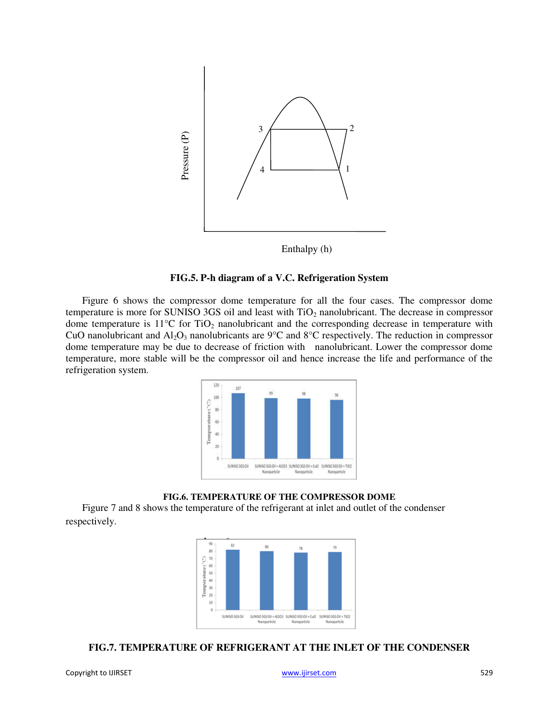

Enthalpy (h)

#### **FIG.5. P-h diagram of a V.C. Refrigeration System**

Figure 6 shows the compressor dome temperature for all the four cases. The compressor dome temperature is more for SUNISO 3GS oil and least with  $TiO<sub>2</sub>$  nanolubricant. The decrease in compressor dome temperature is  $11^{\circ}$ C for TiO<sub>2</sub> nanolubricant and the corresponding decrease in temperature with CuO nanolubricant and  $Al_2O_3$  nanolubricants are 9°C and 8°C respectively. The reduction in compressor dome temperature may be due to decrease of friction with nanolubricant. Lower the compressor dome temperature, more stable will be the compressor oil and hence increase the life and performance of the refrigeration system.



#### **FIG.6. TEMPERATURE OF THE COMPRESSOR DOME**

Figure 7 and 8 shows the temperature of the refrigerant at inlet and outlet of the condenser respectively.



### **FIG.7. TEMPERATURE OF REFRIGERANT AT THE INLET OF THE CONDENSER**